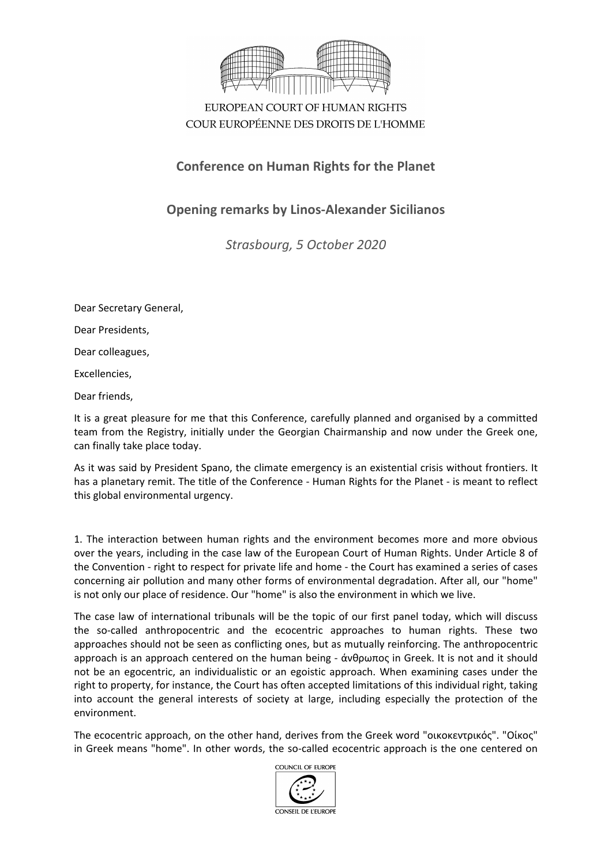

EUROPEAN COURT OF HUMAN RIGHTS COUR EUROPÉENNE DES DROITS DE L'HOMME

## **Conference on Human Rights for the Planet**

## **Opening remarks by Linos-Alexander Sicilianos**

*Strasbourg, 5 October 2020*

Dear Secretary General,

Dear Presidents,

Dear colleagues,

Excellencies,

Dear friends,

It is a great pleasure for me that this Conference, carefully planned and organised by a committed team from the Registry, initially under the Georgian Chairmanship and now under the Greek one, can finally take place today.

As it was said by President Spano, the climate emergency is an existential crisis without frontiers. It has a planetary remit. The title of the Conference - Human Rights for the Planet - is meant to reflect this global environmental urgency.

1. The interaction between human rights and the environment becomes more and more obvious over the years, including in the case law of the European Court of Human Rights. Under Article 8 of the Convention - right to respect for private life and home - the Court has examined a series of cases concerning air pollution and many other forms of environmental degradation. After all, our "home" is not only our place of residence. Our "home" is also the environment in which we live.

The case law of international tribunals will be the topic of our first panel today, which will discuss the so-called anthropocentric and the ecocentric approaches to human rights. These two approaches should not be seen as conflicting ones, but as mutually reinforcing. The anthropocentric approach is an approach centered on the human being - άνθρωπος in Greek. It is not and it should not be an egocentric, an individualistic or an egoistic approach. When examining cases under the right to property, for instance, the Court has often accepted limitations of this individual right, taking into account the general interests of society at large, including especially the protection of the environment.

The ecocentric approach, on the other hand, derives from the Greek word "οικοκεντρικός". "Οίκος" in Greek means "home". In other words, the so-called ecocentric approach is the one centered on